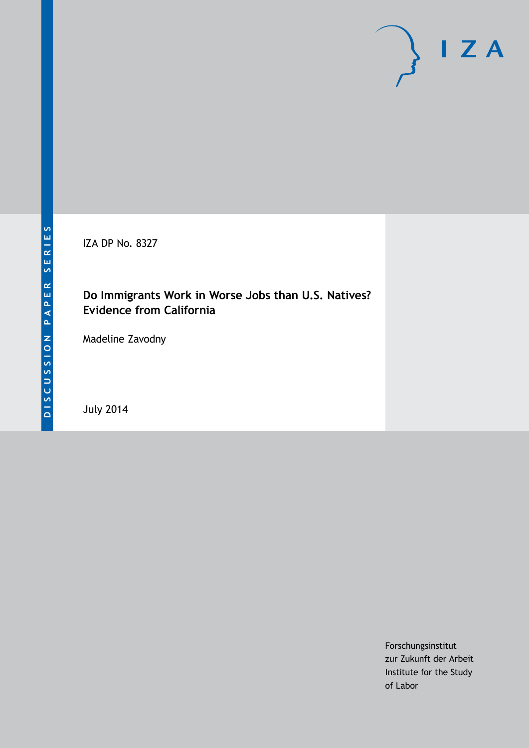IZA DP No. 8327

# **Do Immigrants Work in Worse Jobs than U.S. Natives? Evidence from California**

Madeline Zavodny

July 2014

Forschungsinstitut zur Zukunft der Arbeit Institute for the Study of Labor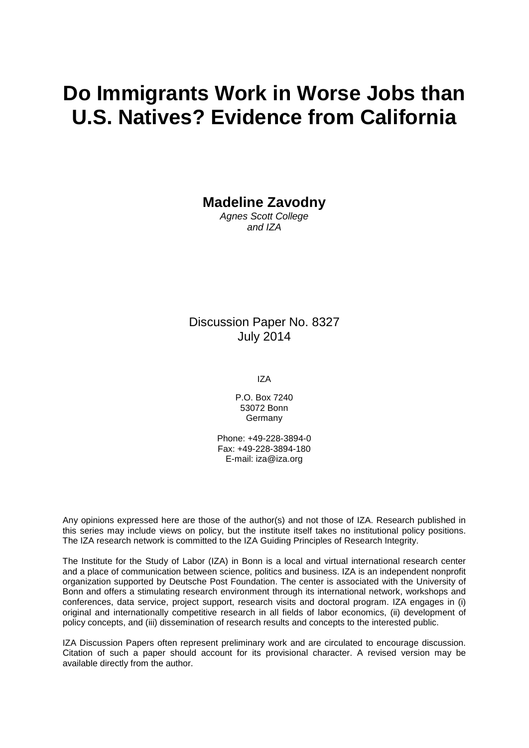# **Do Immigrants Work in Worse Jobs than U.S. Natives? Evidence from California**

**Madeline Zavodny**

*Agnes Scott College and IZA*

# Discussion Paper No. 8327 July 2014

IZA

P.O. Box 7240 53072 Bonn Germany

Phone: +49-228-3894-0 Fax: +49-228-3894-180 E-mail: [iza@iza.org](mailto:iza@iza.org)

Any opinions expressed here are those of the author(s) and not those of IZA. Research published in this series may include views on policy, but the institute itself takes no institutional policy positions. The IZA research network is committed to the IZA Guiding Principles of Research Integrity.

The Institute for the Study of Labor (IZA) in Bonn is a local and virtual international research center and a place of communication between science, politics and business. IZA is an independent nonprofit organization supported by Deutsche Post Foundation. The center is associated with the University of Bonn and offers a stimulating research environment through its international network, workshops and conferences, data service, project support, research visits and doctoral program. IZA engages in (i) original and internationally competitive research in all fields of labor economics, (ii) development of policy concepts, and (iii) dissemination of research results and concepts to the interested public.

IZA Discussion Papers often represent preliminary work and are circulated to encourage discussion. Citation of such a paper should account for its provisional character. A revised version may be available directly from the author.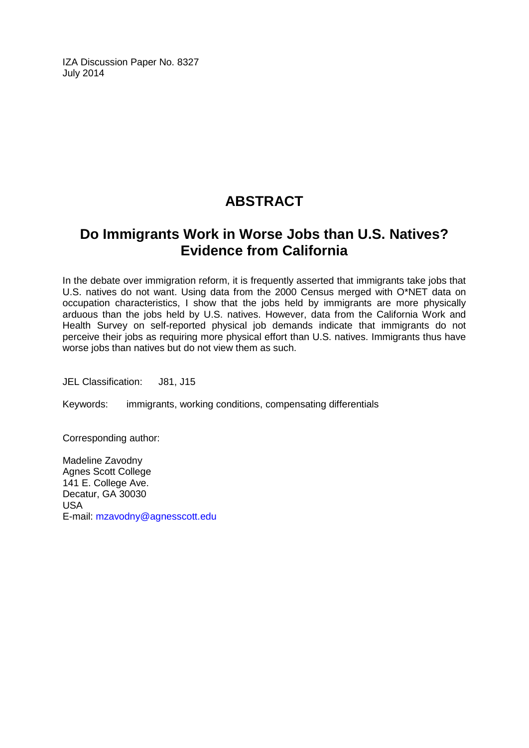IZA Discussion Paper No. 8327 July 2014

# **ABSTRACT**

# **Do Immigrants Work in Worse Jobs than U.S. Natives? Evidence from California**

In the debate over immigration reform, it is frequently asserted that immigrants take jobs that U.S. natives do not want. Using data from the 2000 Census merged with O\*NET data on occupation characteristics, I show that the jobs held by immigrants are more physically arduous than the jobs held by U.S. natives. However, data from the California Work and Health Survey on self-reported physical job demands indicate that immigrants do not perceive their jobs as requiring more physical effort than U.S. natives. Immigrants thus have worse jobs than natives but do not view them as such.

JEL Classification: J81, J15

Keywords: immigrants, working conditions, compensating differentials

Corresponding author:

Madeline Zavodny Agnes Scott College 141 E. College Ave. Decatur, GA 30030 USA E-mail: [mzavodny@agnesscott.edu](mailto:mzavodny@agnesscott.edu)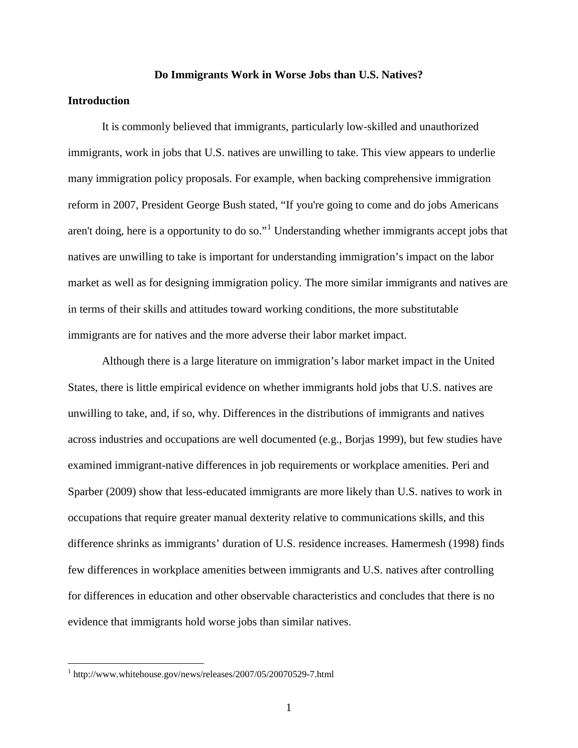#### **Do Immigrants Work in Worse Jobs than U.S. Natives?**

#### **Introduction**

It is commonly believed that immigrants, particularly low-skilled and unauthorized immigrants, work in jobs that U.S. natives are unwilling to take. This view appears to underlie many immigration policy proposals. For example, when backing comprehensive immigration reform in 2007, President George Bush stated, "If you're going to come and do jobs Americans aren't doing, here is a opportunity to do so."<sup>1</sup> Understanding whether immigrants accept jobs that natives are unwilling to take is important for understanding immigration's impact on the labor market as well as for designing immigration policy. The more similar immigrants and natives are in terms of their skills and attitudes toward working conditions, the more substitutable immigrants are for natives and the more adverse their labor market impact.

Although there is a large literature on immigration's labor market impact in the United States, there is little empirical evidence on whether immigrants hold jobs that U.S. natives are unwilling to take, and, if so, why. Differences in the distributions of immigrants and natives across industries and occupations are well documented (e.g., Borjas 1999), but few studies have examined immigrant-native differences in job requirements or workplace amenities. Peri and Sparber (2009) show that less-educated immigrants are more likely than U.S. natives to work in occupations that require greater manual dexterity relative to communications skills, and this difference shrinks as immigrants' duration of U.S. residence increases. Hamermesh (1998) finds few differences in workplace amenities between immigrants and U.S. natives after controlling for differences in education and other observable characteristics and concludes that there is no evidence that immigrants hold worse jobs than similar natives.

<span id="page-3-0"></span> <sup>1</sup> http://www.whitehouse.gov/news/releases/2007/05/20070529-7.html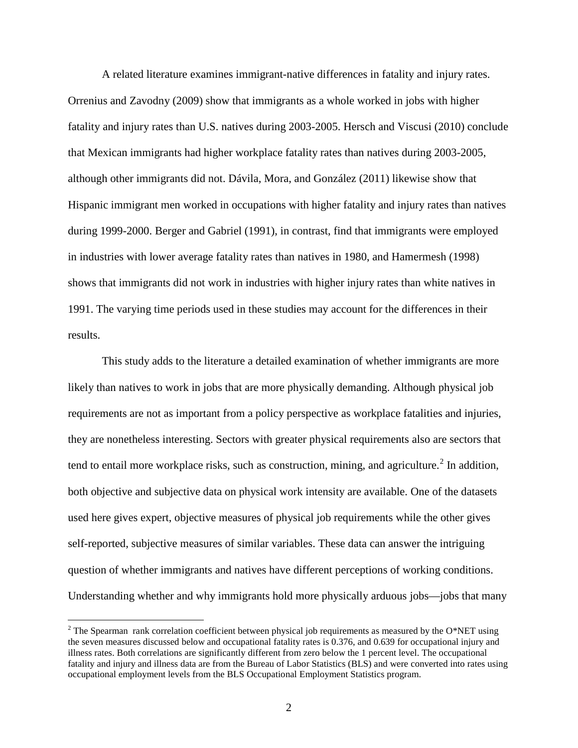A related literature examines immigrant-native differences in fatality and injury rates. Orrenius and Zavodny (2009) show that immigrants as a whole worked in jobs with higher fatality and injury rates than U.S. natives during 2003-2005. Hersch and Viscusi (2010) conclude that Mexican immigrants had higher workplace fatality rates than natives during 2003-2005, although other immigrants did not. Dávila, Mora, and González (2011) likewise show that Hispanic immigrant men worked in occupations with higher fatality and injury rates than natives during 1999-2000. Berger and Gabriel (1991), in contrast, find that immigrants were employed in industries with lower average fatality rates than natives in 1980, and Hamermesh (1998) shows that immigrants did not work in industries with higher injury rates than white natives in 1991. The varying time periods used in these studies may account for the differences in their results.

This study adds to the literature a detailed examination of whether immigrants are more likely than natives to work in jobs that are more physically demanding. Although physical job requirements are not as important from a policy perspective as workplace fatalities and injuries, they are nonetheless interesting. Sectors with greater physical requirements also are sectors that tend to entail more workplace risks, such as construction, mining, and agriculture.<sup>[2](#page-3-0)</sup> In addition, both objective and subjective data on physical work intensity are available. One of the datasets used here gives expert, objective measures of physical job requirements while the other gives self-reported, subjective measures of similar variables. These data can answer the intriguing question of whether immigrants and natives have different perceptions of working conditions. Understanding whether and why immigrants hold more physically arduous jobs—jobs that many

<span id="page-4-0"></span> $2$  The Spearman rank correlation coefficient between physical job requirements as measured by the O\*NET using the seven measures discussed below and occupational fatality rates is 0.376, and 0.639 for occupational injury and illness rates. Both correlations are significantly different from zero below the 1 percent level. The occupational fatality and injury and illness data are from the Bureau of Labor Statistics (BLS) and were converted into rates using occupational employment levels from the BLS Occupational Employment Statistics program.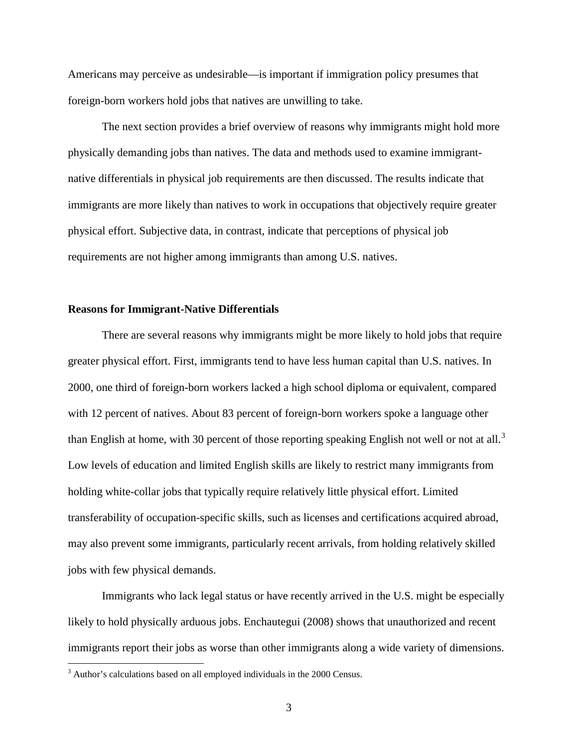Americans may perceive as undesirable—is important if immigration policy presumes that foreign-born workers hold jobs that natives are unwilling to take.

The next section provides a brief overview of reasons why immigrants might hold more physically demanding jobs than natives. The data and methods used to examine immigrantnative differentials in physical job requirements are then discussed. The results indicate that immigrants are more likely than natives to work in occupations that objectively require greater physical effort. Subjective data, in contrast, indicate that perceptions of physical job requirements are not higher among immigrants than among U.S. natives.

#### **Reasons for Immigrant-Native Differentials**

There are several reasons why immigrants might be more likely to hold jobs that require greater physical effort. First, immigrants tend to have less human capital than U.S. natives. In 2000, one third of foreign-born workers lacked a high school diploma or equivalent, compared with 12 percent of natives. About 83 percent of foreign-born workers spoke a language other than English at home, with [3](#page-4-0)0 percent of those reporting speaking English not well or not at all.<sup>3</sup> Low levels of education and limited English skills are likely to restrict many immigrants from holding white-collar jobs that typically require relatively little physical effort. Limited transferability of occupation-specific skills, such as licenses and certifications acquired abroad, may also prevent some immigrants, particularly recent arrivals, from holding relatively skilled jobs with few physical demands.

<span id="page-5-0"></span>Immigrants who lack legal status or have recently arrived in the U.S. might be especially likely to hold physically arduous jobs. Enchautegui (2008) shows that unauthorized and recent immigrants report their jobs as worse than other immigrants along a wide variety of dimensions.

<sup>&</sup>lt;sup>3</sup> Author's calculations based on all employed individuals in the 2000 Census.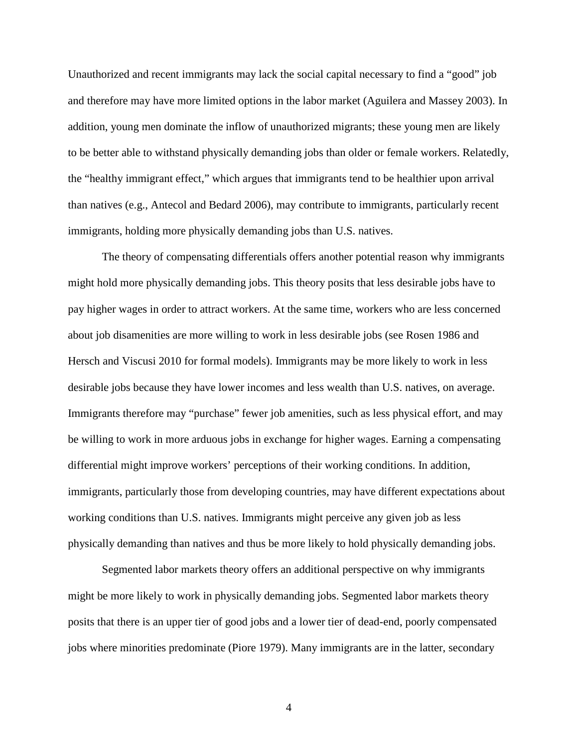Unauthorized and recent immigrants may lack the social capital necessary to find a "good" job and therefore may have more limited options in the labor market (Aguilera and Massey 2003). In addition, young men dominate the inflow of unauthorized migrants; these young men are likely to be better able to withstand physically demanding jobs than older or female workers. Relatedly, the "healthy immigrant effect," which argues that immigrants tend to be healthier upon arrival than natives (e.g., Antecol and Bedard 2006), may contribute to immigrants, particularly recent immigrants, holding more physically demanding jobs than U.S. natives.

The theory of compensating differentials offers another potential reason why immigrants might hold more physically demanding jobs. This theory posits that less desirable jobs have to pay higher wages in order to attract workers. At the same time, workers who are less concerned about job disamenities are more willing to work in less desirable jobs (see Rosen 1986 and Hersch and Viscusi 2010 for formal models). Immigrants may be more likely to work in less desirable jobs because they have lower incomes and less wealth than U.S. natives, on average. Immigrants therefore may "purchase" fewer job amenities, such as less physical effort, and may be willing to work in more arduous jobs in exchange for higher wages. Earning a compensating differential might improve workers' perceptions of their working conditions. In addition, immigrants, particularly those from developing countries, may have different expectations about working conditions than U.S. natives. Immigrants might perceive any given job as less physically demanding than natives and thus be more likely to hold physically demanding jobs.

Segmented labor markets theory offers an additional perspective on why immigrants might be more likely to work in physically demanding jobs. Segmented labor markets theory posits that there is an upper tier of good jobs and a lower tier of dead-end, poorly compensated jobs where minorities predominate (Piore 1979). Many immigrants are in the latter, secondary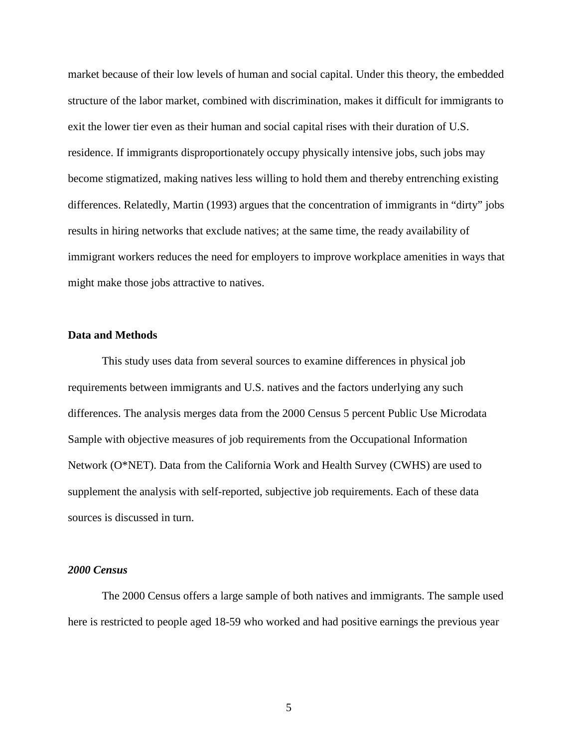market because of their low levels of human and social capital. Under this theory, the embedded structure of the labor market, combined with discrimination, makes it difficult for immigrants to exit the lower tier even as their human and social capital rises with their duration of U.S. residence. If immigrants disproportionately occupy physically intensive jobs, such jobs may become stigmatized, making natives less willing to hold them and thereby entrenching existing differences. Relatedly, Martin (1993) argues that the concentration of immigrants in "dirty" jobs results in hiring networks that exclude natives; at the same time, the ready availability of immigrant workers reduces the need for employers to improve workplace amenities in ways that might make those jobs attractive to natives.

#### **Data and Methods**

This study uses data from several sources to examine differences in physical job requirements between immigrants and U.S. natives and the factors underlying any such differences. The analysis merges data from the 2000 Census 5 percent Public Use Microdata Sample with objective measures of job requirements from the Occupational Information Network (O\*NET). Data from the California Work and Health Survey (CWHS) are used to supplement the analysis with self-reported, subjective job requirements. Each of these data sources is discussed in turn.

#### *2000 Census*

The 2000 Census offers a large sample of both natives and immigrants. The sample used here is restricted to people aged 18-59 who worked and had positive earnings the previous year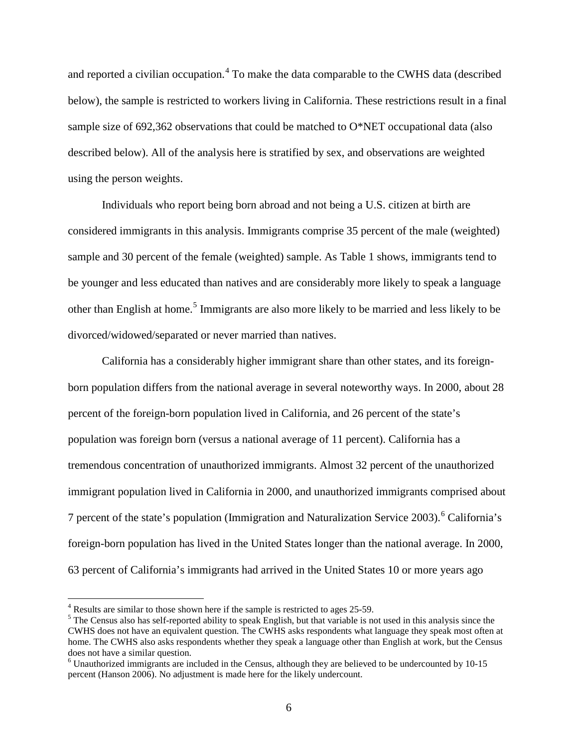and reported a civilian occupation.<sup>[4](#page-5-0)</sup> To make the data comparable to the CWHS data (described below), the sample is restricted to workers living in California. These restrictions result in a final sample size of 692,362 observations that could be matched to O\*NET occupational data (also described below). All of the analysis here is stratified by sex, and observations are weighted using the person weights.

Individuals who report being born abroad and not being a U.S. citizen at birth are considered immigrants in this analysis. Immigrants comprise 35 percent of the male (weighted) sample and 30 percent of the female (weighted) sample. As Table 1 shows, immigrants tend to be younger and less educated than natives and are considerably more likely to speak a language other than English at home.<sup>[5](#page-8-0)</sup> Immigrants are also more likely to be married and less likely to be divorced/widowed/separated or never married than natives.

California has a considerably higher immigrant share than other states, and its foreignborn population differs from the national average in several noteworthy ways. In 2000, about 28 percent of the foreign-born population lived in California, and 26 percent of the state's population was foreign born (versus a national average of 11 percent). California has a tremendous concentration of unauthorized immigrants. Almost 32 percent of the unauthorized immigrant population lived in California in 2000, and unauthorized immigrants comprised about 7 percent of the state's population (Immigration and Naturalization Service 2003).<sup>[6](#page-8-1)</sup> California's foreign-born population has lived in the United States longer than the national average. In 2000, 63 percent of California's immigrants had arrived in the United States 10 or more years ago

<span id="page-8-0"></span><sup>&</sup>lt;sup>4</sup> Results are similar to those shown here if the sample is restricted to ages 25-59.<br><sup>5</sup> The Census also has self-reported ability to speak English, but that variable is not used in this analysis since the CWHS does not have an equivalent question. The CWHS asks respondents what language they speak most often at home. The CWHS also asks respondents whether they speak a language other than English at work, but the Census does not have a similar question.

<span id="page-8-1"></span> $\alpha$ <sup>6</sup> Unauthorized immigrants are included in the Census, although they are believed to be undercounted by 10-15 percent (Hanson 2006). No adjustment is made here for the likely undercount.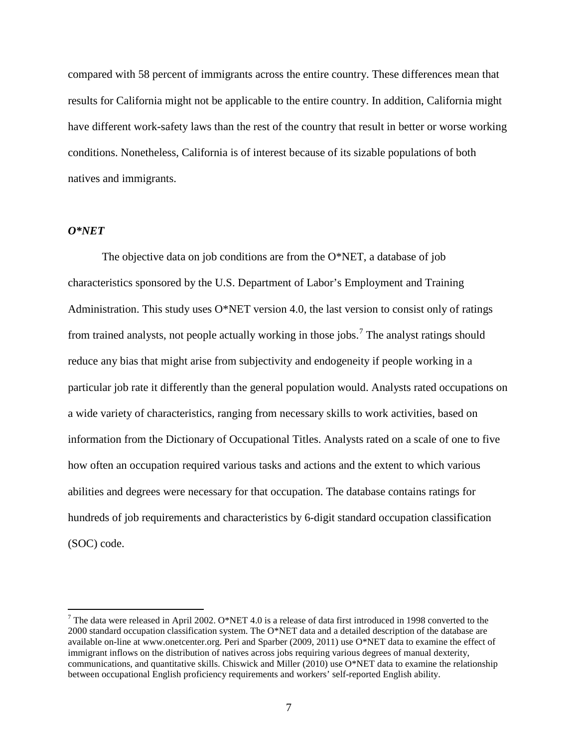compared with 58 percent of immigrants across the entire country. These differences mean that results for California might not be applicable to the entire country. In addition, California might have different work-safety laws than the rest of the country that result in better or worse working conditions. Nonetheless, California is of interest because of its sizable populations of both natives and immigrants.

#### *O\*NET*

The objective data on job conditions are from the O\*NET, a database of job characteristics sponsored by the U.S. Department of Labor's Employment and Training Administration. This study uses O\*NET version 4.0, the last version to consist only of ratings from trained analysts, not people actually working in those jobs.<sup>[7](#page-8-0)</sup> The analyst ratings should reduce any bias that might arise from subjectivity and endogeneity if people working in a particular job rate it differently than the general population would. Analysts rated occupations on a wide variety of characteristics, ranging from necessary skills to work activities, based on information from the Dictionary of Occupational Titles. Analysts rated on a scale of one to five how often an occupation required various tasks and actions and the extent to which various abilities and degrees were necessary for that occupation. The database contains ratings for hundreds of job requirements and characteristics by 6-digit standard occupation classification (SOC) code.

<span id="page-9-0"></span><sup>&</sup>lt;sup>7</sup> The data were released in April 2002. O\*NET 4.0 is a release of data first introduced in 1998 converted to the 2000 standard occupation classification system. The O\*NET data and a detailed description of the database are available on-line at [www.onetcenter.org.](http://www.onetcenter.org/) Peri and Sparber (2009, 2011) use O\*NET data to examine the effect of immigrant inflows on the distribution of natives across jobs requiring various degrees of manual dexterity, communications, and quantitative skills. Chiswick and Miller (2010) use O\*NET data to examine the relationship between occupational English proficiency requirements and workers' self-reported English ability.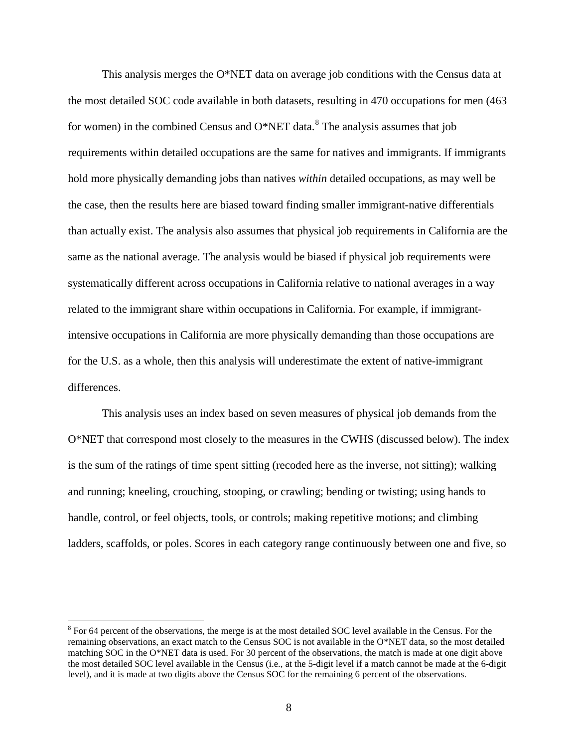This analysis merges the O\*NET data on average job conditions with the Census data at the most detailed SOC code available in both datasets, resulting in 470 occupations for men (463 for women) in the combined Census and  $O^*NET$  data.<sup>[8](#page-9-0)</sup> The analysis assumes that job requirements within detailed occupations are the same for natives and immigrants. If immigrants hold more physically demanding jobs than natives *within* detailed occupations, as may well be the case, then the results here are biased toward finding smaller immigrant-native differentials than actually exist. The analysis also assumes that physical job requirements in California are the same as the national average. The analysis would be biased if physical job requirements were systematically different across occupations in California relative to national averages in a way related to the immigrant share within occupations in California. For example, if immigrantintensive occupations in California are more physically demanding than those occupations are for the U.S. as a whole, then this analysis will underestimate the extent of native-immigrant differences.

This analysis uses an index based on seven measures of physical job demands from the O\*NET that correspond most closely to the measures in the CWHS (discussed below). The index is the sum of the ratings of time spent sitting (recoded here as the inverse, not sitting); walking and running; kneeling, crouching, stooping, or crawling; bending or twisting; using hands to handle, control, or feel objects, tools, or controls; making repetitive motions; and climbing ladders, scaffolds, or poles. Scores in each category range continuously between one and five, so

<span id="page-10-0"></span><sup>&</sup>lt;sup>8</sup> For 64 percent of the observations, the merge is at the most detailed SOC level available in the Census. For the remaining observations, an exact match to the Census SOC is not available in the O\*NET data, so the most detailed matching SOC in the O\*NET data is used. For 30 percent of the observations, the match is made at one digit above the most detailed SOC level available in the Census (i.e., at the 5-digit level if a match cannot be made at the 6-digit level), and it is made at two digits above the Census SOC for the remaining 6 percent of the observations.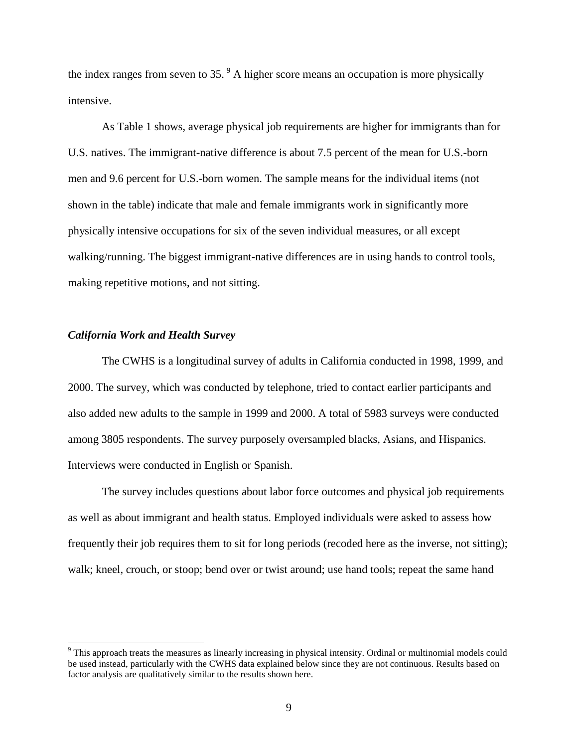the index ranges from seven to  $35.$ <sup>[9](#page-10-0)</sup> A higher score means an occupation is more physically intensive.

As Table 1 shows, average physical job requirements are higher for immigrants than for U.S. natives. The immigrant-native difference is about 7.5 percent of the mean for U.S.-born men and 9.6 percent for U.S.-born women. The sample means for the individual items (not shown in the table) indicate that male and female immigrants work in significantly more physically intensive occupations for six of the seven individual measures, or all except walking/running. The biggest immigrant-native differences are in using hands to control tools, making repetitive motions, and not sitting.

#### *California Work and Health Survey*

The CWHS is a longitudinal survey of adults in California conducted in 1998, 1999, and 2000. The survey, which was conducted by telephone, tried to contact earlier participants and also added new adults to the sample in 1999 and 2000. A total of 5983 surveys were conducted among 3805 respondents. The survey purposely oversampled blacks, Asians, and Hispanics. Interviews were conducted in English or Spanish.

<span id="page-11-0"></span>The survey includes questions about labor force outcomes and physical job requirements as well as about immigrant and health status. Employed individuals were asked to assess how frequently their job requires them to sit for long periods (recoded here as the inverse, not sitting); walk; kneel, crouch, or stoop; bend over or twist around; use hand tools; repeat the same hand

<sup>&</sup>lt;sup>9</sup> This approach treats the measures as linearly increasing in physical intensity. Ordinal or multinomial models could be used instead, particularly with the CWHS data explained below since they are not continuous. Results based on factor analysis are qualitatively similar to the results shown here.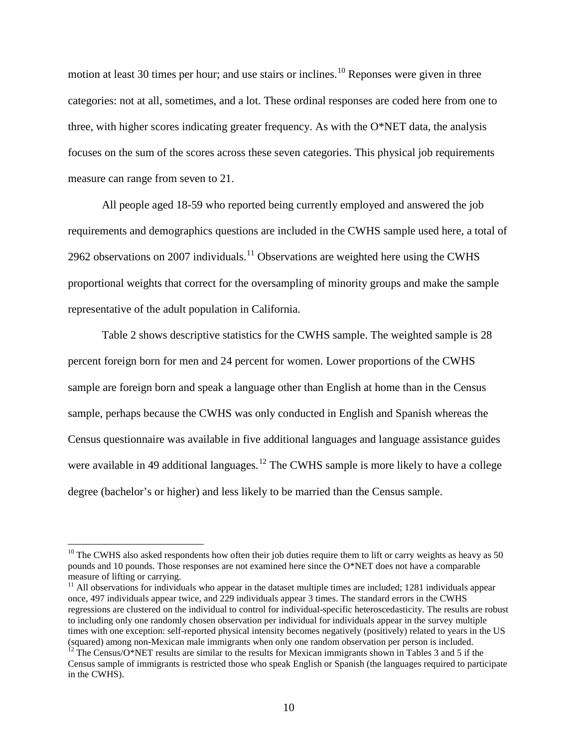motion at least 30 times per hour; and use stairs or inclines.<sup>[10](#page-11-0)</sup> Reponses were given in three categories: not at all, sometimes, and a lot. These ordinal responses are coded here from one to three, with higher scores indicating greater frequency. As with the  $O^*NET$  data, the analysis focuses on the sum of the scores across these seven categories. This physical job requirements measure can range from seven to 21.

All people aged 18-59 who reported being currently employed and answered the job requirements and demographics questions are included in the CWHS sample used here, a total of 2962 observations on 2007 individuals.<sup>[11](#page-12-0)</sup> Observations are weighted here using the CWHS proportional weights that correct for the oversampling of minority groups and make the sample representative of the adult population in California.

Table 2 shows descriptive statistics for the CWHS sample. The weighted sample is 28 percent foreign born for men and 24 percent for women. Lower proportions of the CWHS sample are foreign born and speak a language other than English at home than in the Census sample, perhaps because the CWHS was only conducted in English and Spanish whereas the Census questionnaire was available in five additional languages and language assistance guides were available in 49 additional languages.<sup>[12](#page-12-1)</sup> The CWHS sample is more likely to have a college degree (bachelor's or higher) and less likely to be married than the Census sample.

 $10$  The CWHS also asked respondents how often their job duties require them to lift or carry weights as heavy as 50 pounds and 10 pounds. Those responses are not examined here since the O\*NET does not have a comparable measure of lifting or carrying.

<span id="page-12-2"></span><span id="page-12-0"></span> $11$  All observations for individuals who appear in the dataset multiple times are included; 1281 individuals appear once, 497 individuals appear twice, and 229 individuals appear 3 times. The standard errors in the CWHS regressions are clustered on the individual to control for individual-specific heteroscedasticity. The results are robust to including only one randomly chosen observation per individual for individuals appear in the survey multiple times with one exception: self-reported physical intensity becomes negatively (positively) related to years in the US (squared) among non-Mexican male immigrants when only one random observation per person is included. <sup>12</sup> The Census/O\*NET results are similar to the results for Mexican immigrants shown in Tables 3 and 5 if the

<span id="page-12-1"></span>Census sample of immigrants is restricted those who speak English or Spanish (the languages required to participate in the CWHS).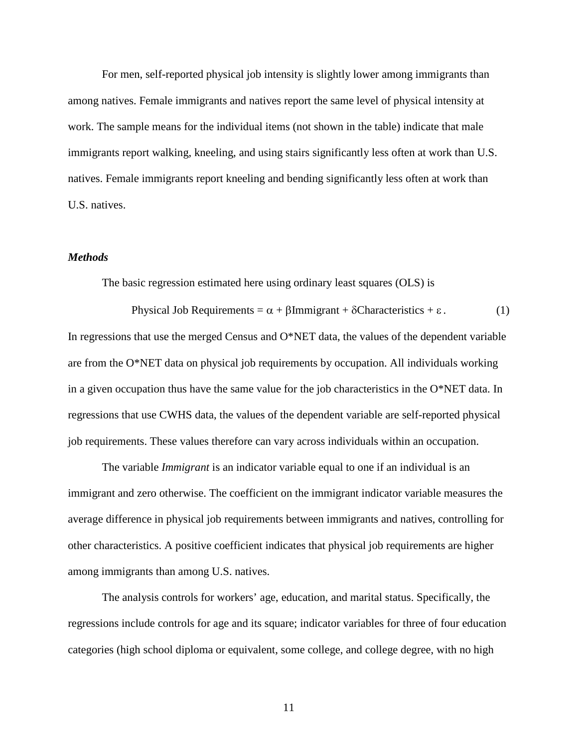For men, self-reported physical job intensity is slightly lower among immigrants than among natives. Female immigrants and natives report the same level of physical intensity at work. The sample means for the individual items (not shown in the table) indicate that male immigrants report walking, kneeling, and using stairs significantly less often at work than U.S. natives. Female immigrants report kneeling and bending significantly less often at work than U.S. natives.

#### *Methods*

The basic regression estimated here using ordinary least squares (OLS) is

Physical Job Requirements =  $\alpha + \beta$ Immigrant + δCharacteristics + ε . (1) In regressions that use the merged Census and O\*NET data, the values of the dependent variable are from the O\*NET data on physical job requirements by occupation. All individuals working in a given occupation thus have the same value for the job characteristics in the  $O*NET$  data. In regressions that use CWHS data, the values of the dependent variable are self-reported physical job requirements. These values therefore can vary across individuals within an occupation.

The variable *Immigrant* is an indicator variable equal to one if an individual is an immigrant and zero otherwise. The coefficient on the immigrant indicator variable measures the average difference in physical job requirements between immigrants and natives, controlling for other characteristics. A positive coefficient indicates that physical job requirements are higher among immigrants than among U.S. natives.

The analysis controls for workers' age, education, and marital status. Specifically, the regressions include controls for age and its square; indicator variables for three of four education categories (high school diploma or equivalent, some college, and college degree, with no high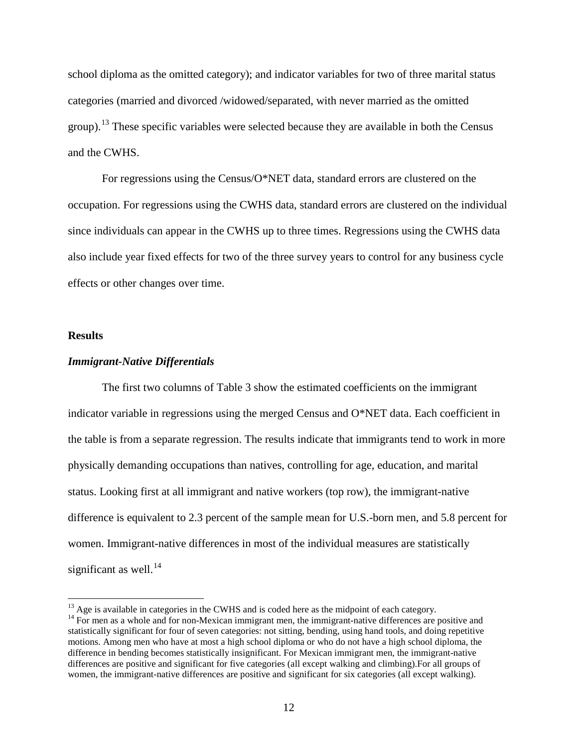school diploma as the omitted category); and indicator variables for two of three marital status categories (married and divorced /widowed/separated, with never married as the omitted group).<sup>[13](#page-12-2)</sup> These specific variables were selected because they are available in both the Census and the CWHS.

For regressions using the Census/O\*NET data, standard errors are clustered on the occupation. For regressions using the CWHS data, standard errors are clustered on the individual since individuals can appear in the CWHS up to three times. Regressions using the CWHS data also include year fixed effects for two of the three survey years to control for any business cycle effects or other changes over time.

#### **Results**

#### *Immigrant-Native Differentials*

The first two columns of Table 3 show the estimated coefficients on the immigrant indicator variable in regressions using the merged Census and O\*NET data. Each coefficient in the table is from a separate regression. The results indicate that immigrants tend to work in more physically demanding occupations than natives, controlling for age, education, and marital status. Looking first at all immigrant and native workers (top row), the immigrant-native difference is equivalent to 2.3 percent of the sample mean for U.S.-born men, and 5.8 percent for women. Immigrant-native differences in most of the individual measures are statistically significant as well. $^{14}$  $^{14}$  $^{14}$ 

<span id="page-14-1"></span><sup>&</sup>lt;sup>13</sup> Age is available in categories in the CWHS and is coded here as the midpoint of each category.<br><sup>14</sup> For men as a whole and for non-Mexican immigrant men, the immigrant-native differences are positive and

<span id="page-14-0"></span>statistically significant for four of seven categories: not sitting, bending, using hand tools, and doing repetitive motions. Among men who have at most a high school diploma or who do not have a high school diploma, the difference in bending becomes statistically insignificant. For Mexican immigrant men, the immigrant-native differences are positive and significant for five categories (all except walking and climbing).For all groups of women, the immigrant-native differences are positive and significant for six categories (all except walking).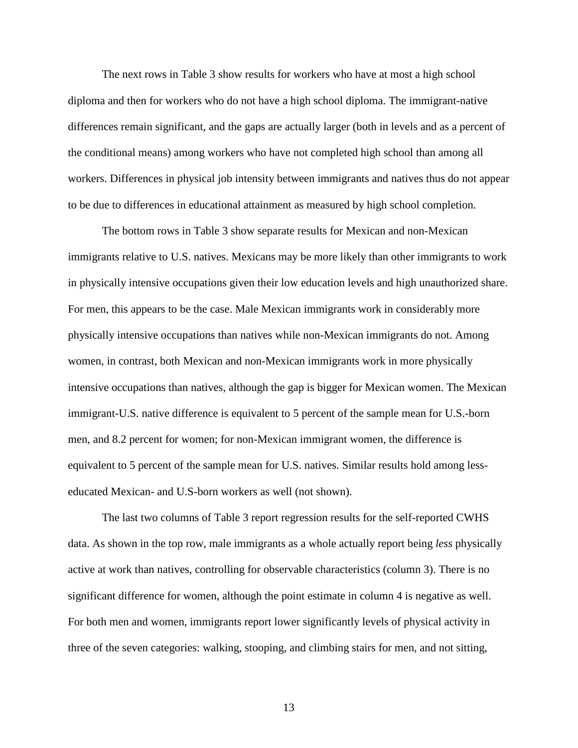The next rows in Table 3 show results for workers who have at most a high school diploma and then for workers who do not have a high school diploma. The immigrant-native differences remain significant, and the gaps are actually larger (both in levels and as a percent of the conditional means) among workers who have not completed high school than among all workers. Differences in physical job intensity between immigrants and natives thus do not appear to be due to differences in educational attainment as measured by high school completion.

The bottom rows in Table 3 show separate results for Mexican and non-Mexican immigrants relative to U.S. natives. Mexicans may be more likely than other immigrants to work in physically intensive occupations given their low education levels and high unauthorized share. For men, this appears to be the case. Male Mexican immigrants work in considerably more physically intensive occupations than natives while non-Mexican immigrants do not. Among women, in contrast, both Mexican and non-Mexican immigrants work in more physically intensive occupations than natives, although the gap is bigger for Mexican women. The Mexican immigrant-U.S. native difference is equivalent to 5 percent of the sample mean for U.S.-born men, and 8.2 percent for women; for non-Mexican immigrant women, the difference is equivalent to 5 percent of the sample mean for U.S. natives. Similar results hold among lesseducated Mexican- and U.S-born workers as well (not shown).

The last two columns of Table 3 report regression results for the self-reported CWHS data. As shown in the top row, male immigrants as a whole actually report being *less* physically active at work than natives, controlling for observable characteristics (column 3). There is no significant difference for women, although the point estimate in column 4 is negative as well. For both men and women, immigrants report lower significantly levels of physical activity in three of the seven categories: walking, stooping, and climbing stairs for men, and not sitting,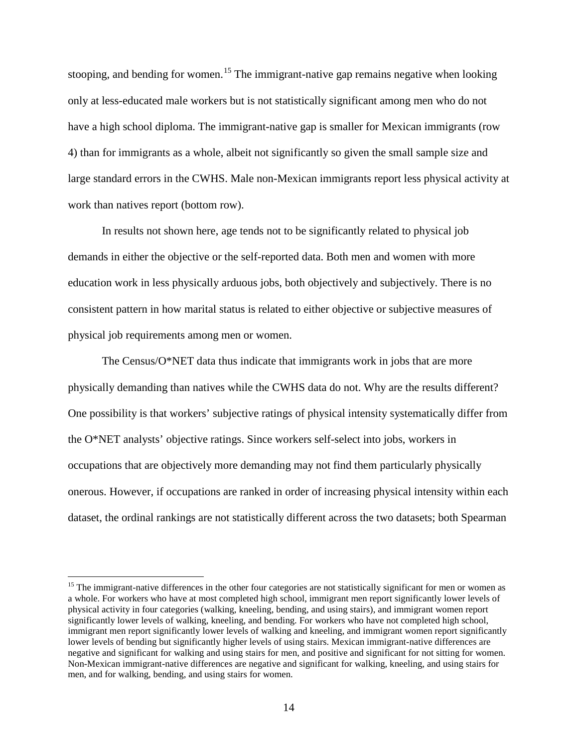stooping, and bending for women.<sup>[15](#page-14-1)</sup> The immigrant-native gap remains negative when looking only at less-educated male workers but is not statistically significant among men who do not have a high school diploma. The immigrant-native gap is smaller for Mexican immigrants (row 4) than for immigrants as a whole, albeit not significantly so given the small sample size and large standard errors in the CWHS. Male non-Mexican immigrants report less physical activity at work than natives report (bottom row).

In results not shown here, age tends not to be significantly related to physical job demands in either the objective or the self-reported data. Both men and women with more education work in less physically arduous jobs, both objectively and subjectively. There is no consistent pattern in how marital status is related to either objective or subjective measures of physical job requirements among men or women.

The Census/ $O^*NET$  data thus indicate that immigrants work in jobs that are more physically demanding than natives while the CWHS data do not. Why are the results different? One possibility is that workers' subjective ratings of physical intensity systematically differ from the O\*NET analysts' objective ratings. Since workers self-select into jobs, workers in occupations that are objectively more demanding may not find them particularly physically onerous. However, if occupations are ranked in order of increasing physical intensity within each dataset, the ordinal rankings are not statistically different across the two datasets; both Spearman

<span id="page-16-0"></span> $15$  The immigrant-native differences in the other four categories are not statistically significant for men or women as a whole. For workers who have at most completed high school, immigrant men report significantly lower levels of physical activity in four categories (walking, kneeling, bending, and using stairs), and immigrant women report significantly lower levels of walking, kneeling, and bending. For workers who have not completed high school, immigrant men report significantly lower levels of walking and kneeling, and immigrant women report significantly lower levels of bending but significantly higher levels of using stairs. Mexican immigrant-native differences are negative and significant for walking and using stairs for men, and positive and significant for not sitting for women. Non-Mexican immigrant-native differences are negative and significant for walking, kneeling, and using stairs for men, and for walking, bending, and using stairs for women.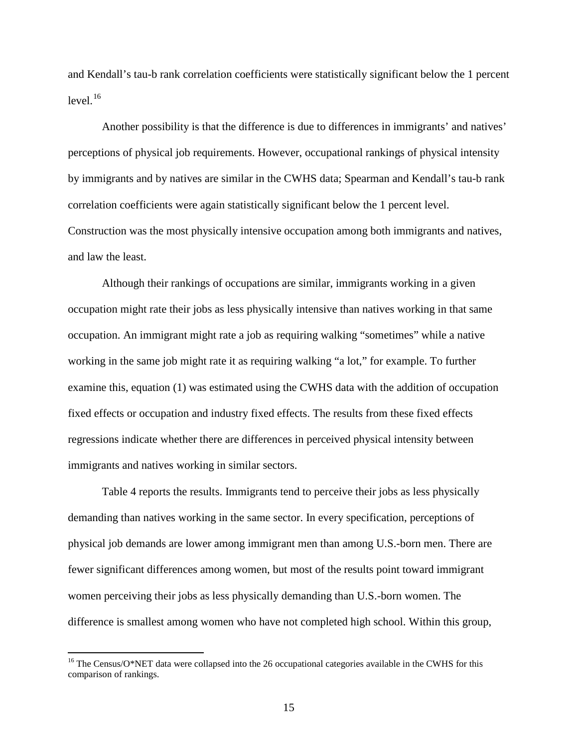and Kendall's tau-b rank correlation coefficients were statistically significant below the 1 percent  $level.<sup>16</sup>$  $level.<sup>16</sup>$  $level.<sup>16</sup>$ 

Another possibility is that the difference is due to differences in immigrants' and natives' perceptions of physical job requirements. However, occupational rankings of physical intensity by immigrants and by natives are similar in the CWHS data; Spearman and Kendall's tau-b rank correlation coefficients were again statistically significant below the 1 percent level. Construction was the most physically intensive occupation among both immigrants and natives, and law the least.

Although their rankings of occupations are similar, immigrants working in a given occupation might rate their jobs as less physically intensive than natives working in that same occupation. An immigrant might rate a job as requiring walking "sometimes" while a native working in the same job might rate it as requiring walking "a lot," for example. To further examine this, equation (1) was estimated using the CWHS data with the addition of occupation fixed effects or occupation and industry fixed effects. The results from these fixed effects regressions indicate whether there are differences in perceived physical intensity between immigrants and natives working in similar sectors.

Table 4 reports the results. Immigrants tend to perceive their jobs as less physically demanding than natives working in the same sector. In every specification, perceptions of physical job demands are lower among immigrant men than among U.S.-born men. There are fewer significant differences among women, but most of the results point toward immigrant women perceiving their jobs as less physically demanding than U.S.-born women. The difference is smallest among women who have not completed high school. Within this group,

<span id="page-17-0"></span><sup>&</sup>lt;sup>16</sup> The Census/O\*NET data were collapsed into the 26 occupational categories available in the CWHS for this comparison of rankings.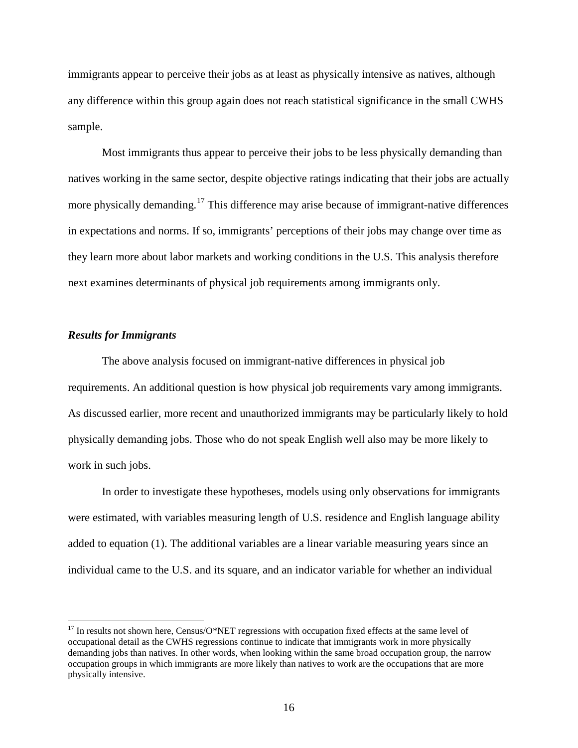immigrants appear to perceive their jobs as at least as physically intensive as natives, although any difference within this group again does not reach statistical significance in the small CWHS sample.

Most immigrants thus appear to perceive their jobs to be less physically demanding than natives working in the same sector, despite objective ratings indicating that their jobs are actually more physically demanding.<sup>[17](#page-17-0)</sup> This difference may arise because of immigrant-native differences in expectations and norms. If so, immigrants' perceptions of their jobs may change over time as they learn more about labor markets and working conditions in the U.S. This analysis therefore next examines determinants of physical job requirements among immigrants only.

#### *Results for Immigrants*

The above analysis focused on immigrant-native differences in physical job requirements. An additional question is how physical job requirements vary among immigrants. As discussed earlier, more recent and unauthorized immigrants may be particularly likely to hold physically demanding jobs. Those who do not speak English well also may be more likely to work in such jobs.

In order to investigate these hypotheses, models using only observations for immigrants were estimated, with variables measuring length of U.S. residence and English language ability added to equation (1). The additional variables are a linear variable measuring years since an individual came to the U.S. and its square, and an indicator variable for whether an individual

<span id="page-18-0"></span> $17$  In results not shown here, Census/O\*NET regressions with occupation fixed effects at the same level of occupational detail as the CWHS regressions continue to indicate that immigrants work in more physically demanding jobs than natives. In other words, when looking within the same broad occupation group, the narrow occupation groups in which immigrants are more likely than natives to work are the occupations that are more physically intensive.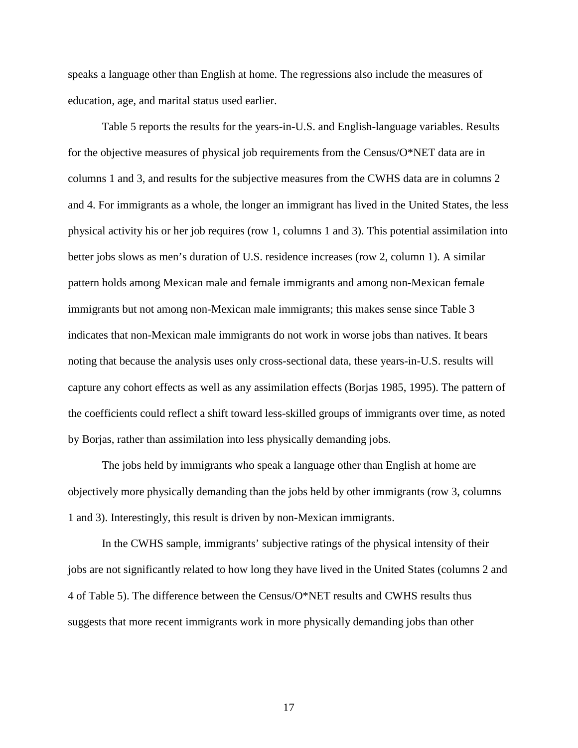speaks a language other than English at home. The regressions also include the measures of education, age, and marital status used earlier.

Table 5 reports the results for the years-in-U.S. and English-language variables. Results for the objective measures of physical job requirements from the Census/O\*NET data are in columns 1 and 3, and results for the subjective measures from the CWHS data are in columns 2 and 4. For immigrants as a whole, the longer an immigrant has lived in the United States, the less physical activity his or her job requires (row 1, columns 1 and 3). This potential assimilation into better jobs slows as men's duration of U.S. residence increases (row 2, column 1). A similar pattern holds among Mexican male and female immigrants and among non-Mexican female immigrants but not among non-Mexican male immigrants; this makes sense since Table 3 indicates that non-Mexican male immigrants do not work in worse jobs than natives. It bears noting that because the analysis uses only cross-sectional data, these years-in-U.S. results will capture any cohort effects as well as any assimilation effects (Borjas 1985, 1995). The pattern of the coefficients could reflect a shift toward less-skilled groups of immigrants over time, as noted by Borjas, rather than assimilation into less physically demanding jobs.

The jobs held by immigrants who speak a language other than English at home are objectively more physically demanding than the jobs held by other immigrants (row 3, columns 1 and 3). Interestingly, this result is driven by non-Mexican immigrants.

In the CWHS sample, immigrants' subjective ratings of the physical intensity of their jobs are not significantly related to how long they have lived in the United States (columns 2 and 4 of Table 5). The difference between the Census/O\*NET results and CWHS results thus suggests that more recent immigrants work in more physically demanding jobs than other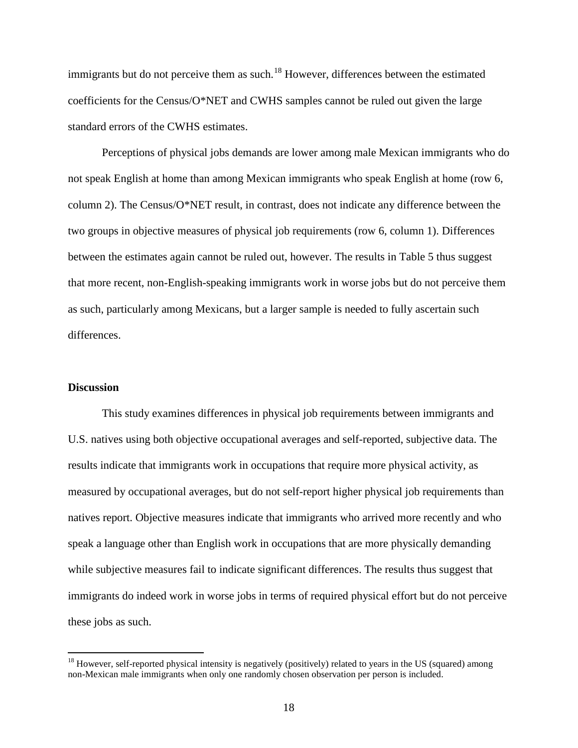immigrants but do not perceive them as such.<sup>[18](#page-18-0)</sup> However, differences between the estimated coefficients for the Census/O\*NET and CWHS samples cannot be ruled out given the large standard errors of the CWHS estimates.

Perceptions of physical jobs demands are lower among male Mexican immigrants who do not speak English at home than among Mexican immigrants who speak English at home (row 6, column 2). The Census/O\*NET result, in contrast, does not indicate any difference between the two groups in objective measures of physical job requirements (row 6, column 1). Differences between the estimates again cannot be ruled out, however. The results in Table 5 thus suggest that more recent, non-English-speaking immigrants work in worse jobs but do not perceive them as such, particularly among Mexicans, but a larger sample is needed to fully ascertain such differences.

#### **Discussion**

This study examines differences in physical job requirements between immigrants and U.S. natives using both objective occupational averages and self-reported, subjective data. The results indicate that immigrants work in occupations that require more physical activity, as measured by occupational averages, but do not self-report higher physical job requirements than natives report. Objective measures indicate that immigrants who arrived more recently and who speak a language other than English work in occupations that are more physically demanding while subjective measures fail to indicate significant differences. The results thus suggest that immigrants do indeed work in worse jobs in terms of required physical effort but do not perceive these jobs as such.

 $18$  However, self-reported physical intensity is negatively (positively) related to years in the US (squared) among non-Mexican male immigrants when only one randomly chosen observation per person is included.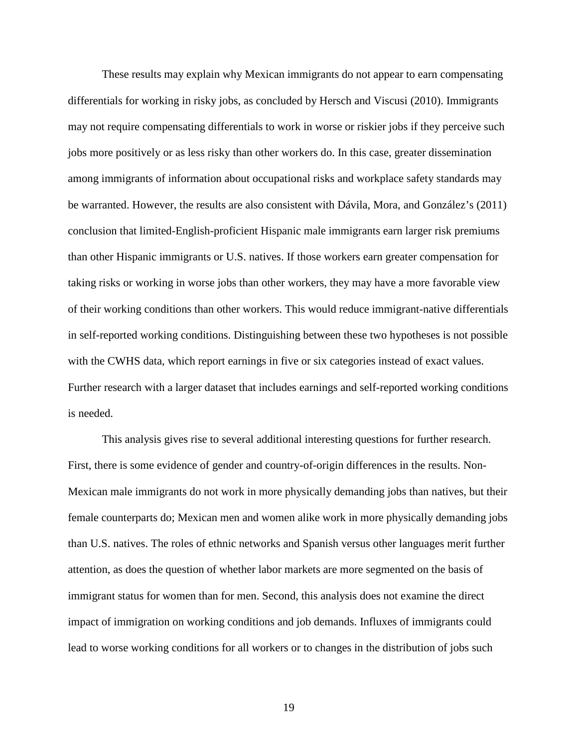These results may explain why Mexican immigrants do not appear to earn compensating differentials for working in risky jobs, as concluded by Hersch and Viscusi (2010). Immigrants may not require compensating differentials to work in worse or riskier jobs if they perceive such jobs more positively or as less risky than other workers do. In this case, greater dissemination among immigrants of information about occupational risks and workplace safety standards may be warranted. However, the results are also consistent with Dávila, Mora, and González's (2011) conclusion that limited-English-proficient Hispanic male immigrants earn larger risk premiums than other Hispanic immigrants or U.S. natives. If those workers earn greater compensation for taking risks or working in worse jobs than other workers, they may have a more favorable view of their working conditions than other workers. This would reduce immigrant-native differentials in self-reported working conditions. Distinguishing between these two hypotheses is not possible with the CWHS data, which report earnings in five or six categories instead of exact values. Further research with a larger dataset that includes earnings and self-reported working conditions is needed.

This analysis gives rise to several additional interesting questions for further research. First, there is some evidence of gender and country-of-origin differences in the results. Non-Mexican male immigrants do not work in more physically demanding jobs than natives, but their female counterparts do; Mexican men and women alike work in more physically demanding jobs than U.S. natives. The roles of ethnic networks and Spanish versus other languages merit further attention, as does the question of whether labor markets are more segmented on the basis of immigrant status for women than for men. Second, this analysis does not examine the direct impact of immigration on working conditions and job demands. Influxes of immigrants could lead to worse working conditions for all workers or to changes in the distribution of jobs such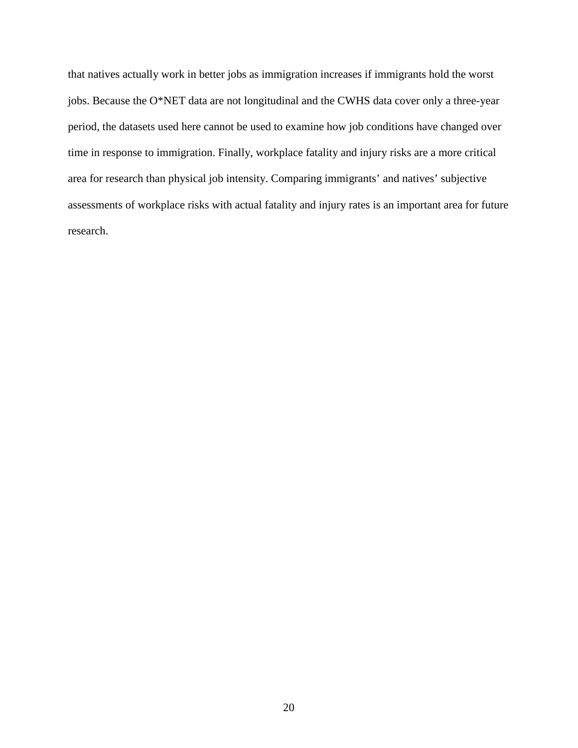that natives actually work in better jobs as immigration increases if immigrants hold the worst jobs. Because the O\*NET data are not longitudinal and the CWHS data cover only a three-year period, the datasets used here cannot be used to examine how job conditions have changed over time in response to immigration. Finally, workplace fatality and injury risks are a more critical area for research than physical job intensity. Comparing immigrants' and natives' subjective assessments of workplace risks with actual fatality and injury rates is an important area for future research.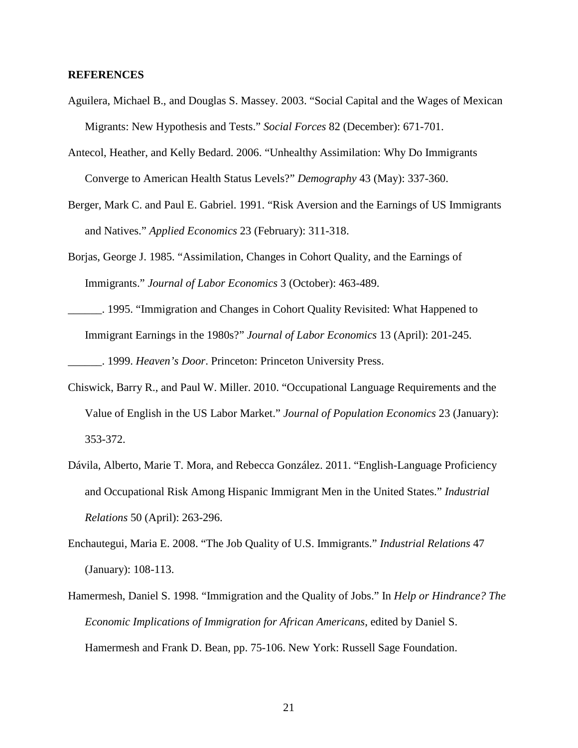#### **REFERENCES**

- Aguilera, Michael B., and Douglas S. Massey. 2003. "Social Capital and the Wages of Mexican Migrants: New Hypothesis and Tests." *Social Forces* 82 (December): 671-701.
- Antecol, Heather, and Kelly Bedard. 2006. "Unhealthy Assimilation: Why Do Immigrants Converge to American Health Status Levels?" *Demography* 43 (May): 337-360.
- Berger, Mark C. and Paul E. Gabriel. 1991. "Risk Aversion and the Earnings of US Immigrants and Natives." *Applied Economics* 23 (February): 311-318.
- Borjas, George J. 1985. "Assimilation, Changes in Cohort Quality, and the Earnings of Immigrants." *Journal of Labor Economics* 3 (October): 463-489.
- \_\_\_\_\_\_. 1995. "Immigration and Changes in Cohort Quality Revisited: What Happened to Immigrant Earnings in the 1980s?" *Journal of Labor Economics* 13 (April): 201-245. \_\_\_\_\_\_. 1999. *Heaven's Door*. Princeton: Princeton University Press.
- Chiswick, Barry R., and Paul W. Miller. 2010. "Occupational Language Requirements and the Value of English in the US Labor Market." *Journal of Population Economics* 23 (January): 353-372.
- Dávila, Alberto, Marie T. Mora, and Rebecca González. 2011. "English-Language Proficiency and Occupational Risk Among Hispanic Immigrant Men in the United States." *Industrial Relations* 50 (April): 263-296.
- Enchautegui, Maria E. 2008. "The Job Quality of U.S. Immigrants." *Industrial Relations* 47 (January): 108-113.
- Hamermesh, Daniel S. 1998. "Immigration and the Quality of Jobs." In *Help or Hindrance? The Economic Implications of Immigration for African Americans*, edited by Daniel S. Hamermesh and Frank D. Bean, pp. 75-106. New York: Russell Sage Foundation.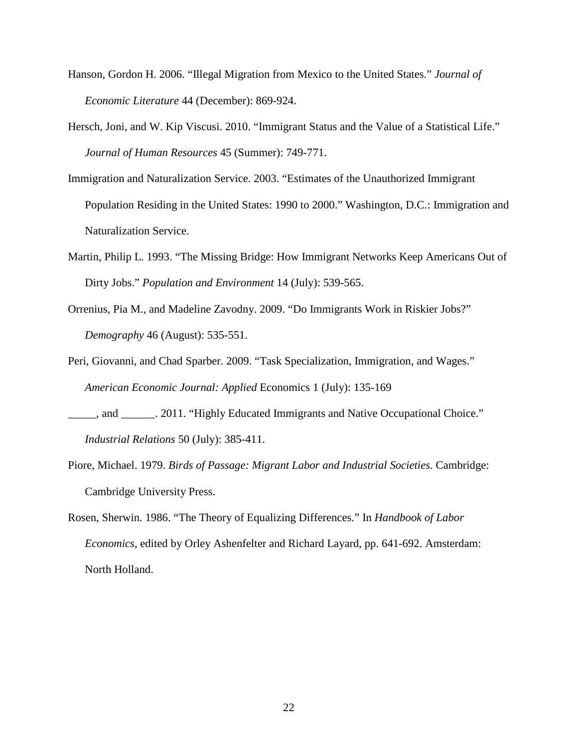- Hanson, Gordon H. 2006. "Illegal Migration from Mexico to the United States." *Journal of Economic Literature* 44 (December): 869-924.
- Hersch, Joni, and W. Kip Viscusi. 2010. "Immigrant Status and the Value of a Statistical Life." *Journal of Human Resources* 45 (Summer): 749-771.
- Immigration and Naturalization Service. 2003. "Estimates of the Unauthorized Immigrant Population Residing in the United States: 1990 to 2000." Washington, D.C.: Immigration and Naturalization Service.
- Martin, Philip L. 1993. "The Missing Bridge: How Immigrant Networks Keep Americans Out of Dirty Jobs." *Population and Environment* 14 (July): 539-565.
- Orrenius, Pia M., and Madeline Zavodny. 2009. "Do Immigrants Work in Riskier Jobs?" *Demography* 46 (August): 535-551.
- Peri, Giovanni, and Chad Sparber. 2009. "Task Specialization, Immigration, and Wages." *American Economic Journal: Applied* Economics 1 (July): 135-169
- \_\_\_\_\_, and \_\_\_\_\_\_. 2011. "Highly Educated Immigrants and Native Occupational Choice." *Industrial Relations* 50 (July): 385-411.
- Piore, Michael. 1979. *Birds of Passage: Migrant Labor and Industrial Societies*. Cambridge: Cambridge University Press.
- Rosen, Sherwin. 1986. "The Theory of Equalizing Differences." In *Handbook of Labor Economics*, edited by Orley Ashenfelter and Richard Layard, pp. 641-692. Amsterdam: North Holland.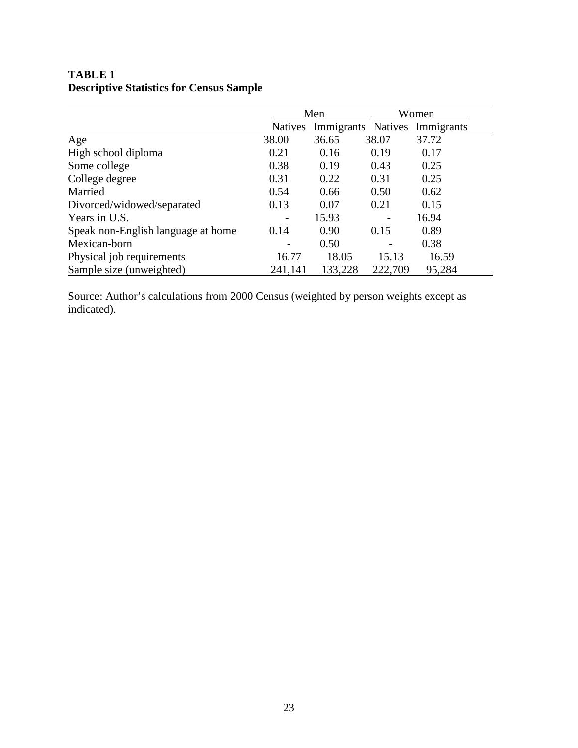|                                    |                | Men                |         | Women      |
|------------------------------------|----------------|--------------------|---------|------------|
|                                    | <b>Natives</b> | Immigrants Natives |         | Immigrants |
| Age                                | 38.00          | 36.65              | 38.07   | 37.72      |
| High school diploma                | 0.21           | 0.16               | 0.19    | 0.17       |
| Some college                       | 0.38           | 0.19               | 0.43    | 0.25       |
| College degree                     | 0.31           | 0.22               | 0.31    | 0.25       |
| Married                            | 0.54           | 0.66               | 0.50    | 0.62       |
| Divorced/widowed/separated         | 0.13           | 0.07               | 0.21    | 0.15       |
| Years in U.S.                      |                | 15.93              |         | 16.94      |
| Speak non-English language at home | 0.14           | 0.90               | 0.15    | 0.89       |
| Mexican-born                       |                | 0.50               |         | 0.38       |
| Physical job requirements          | 16.77          | 18.05              | 15.13   | 16.59      |
| Sample size (unweighted)           | 241,141        | 133,228            | 222,709 | 95,284     |

## **TABLE 1 Descriptive Statistics for Census Sample**

Source: Author's calculations from 2000 Census (weighted by person weights except as indicated).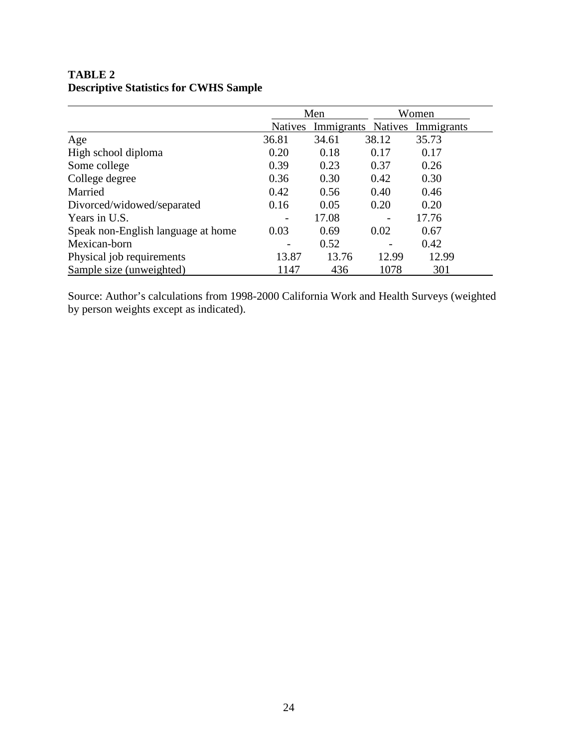|                                    | Men            |                    |       | Women      |
|------------------------------------|----------------|--------------------|-------|------------|
|                                    | <b>Natives</b> | Immigrants Natives |       | Immigrants |
| Age                                | 36.81          | 34.61              | 38.12 | 35.73      |
| High school diploma                | 0.20           | 0.18               | 0.17  | 0.17       |
| Some college                       | 0.39           | 0.23               | 0.37  | 0.26       |
| College degree                     | 0.36           | 0.30               | 0.42  | 0.30       |
| Married                            | 0.42           | 0.56               | 0.40  | 0.46       |
| Divorced/widowed/separated         | 0.16           | 0.05               | 0.20  | 0.20       |
| Years in U.S.                      |                | 17.08              |       | 17.76      |
| Speak non-English language at home | 0.03           | 0.69               | 0.02  | 0.67       |
| Mexican-born                       |                | 0.52               |       | 0.42       |
| Physical job requirements          | 13.87          | 13.76              | 12.99 | 12.99      |
| Sample size (unweighted)           | 1147           | 436                | 1078  | 301        |

# **TABLE 2 Descriptive Statistics for CWHS Sample**

Source: Author's calculations from 1998-2000 California Work and Health Surveys (weighted by person weights except as indicated).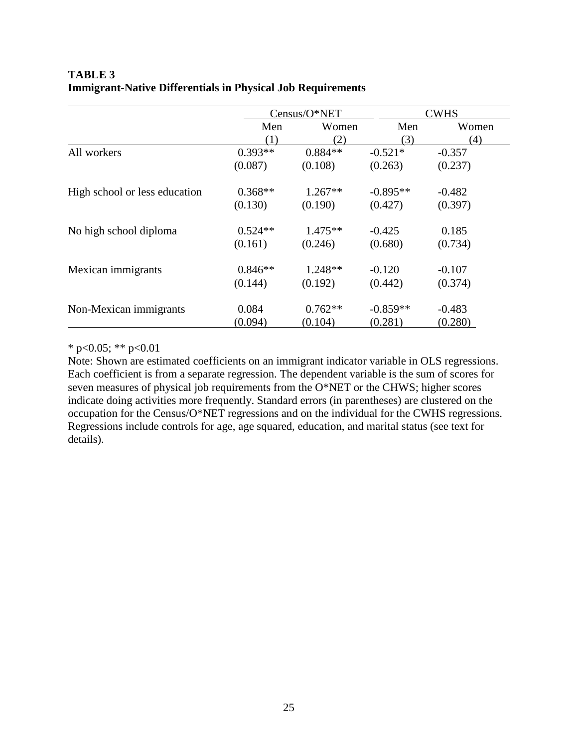### **TABLE 3 Immigrant-Native Differentials in Physical Job Requirements**

|                               | Census/O*NET |           |            | <b>CWHS</b> |
|-------------------------------|--------------|-----------|------------|-------------|
|                               | Men          | Women     | Men        | Women       |
|                               | (1)          | (2)       | (3)        | (4)         |
| All workers                   | $0.393**$    | $0.884**$ | $-0.521*$  | $-0.357$    |
|                               | (0.087)      | (0.108)   | (0.263)    | (0.237)     |
| High school or less education | $0.368**$    | $1.267**$ | $-0.895**$ | $-0.482$    |
|                               | (0.130)      | (0.190)   | (0.427)    | (0.397)     |
| No high school diploma        | $0.524**$    | $1.475**$ | $-0.425$   | 0.185       |
|                               | (0.161)      | (0.246)   | (0.680)    | (0.734)     |
| Mexican immigrants            | $0.846**$    | $1.248**$ | $-0.120$   | $-0.107$    |
|                               | (0.144)      | (0.192)   | (0.442)    | (0.374)     |
| Non-Mexican immigrants        | 0.084        | $0.762**$ | $-0.859**$ | $-0.483$    |
|                               | (0.094)      | (0.104)   | (0.281)    | (0.280)     |

\* p<0.05; \*\* p<0.01

Note: Shown are estimated coefficients on an immigrant indicator variable in OLS regressions. Each coefficient is from a separate regression. The dependent variable is the sum of scores for seven measures of physical job requirements from the O\*NET or the CHWS; higher scores indicate doing activities more frequently. Standard errors (in parentheses) are clustered on the occupation for the Census/O\*NET regressions and on the individual for the CWHS regressions. Regressions include controls for age, age squared, education, and marital status (see text for details).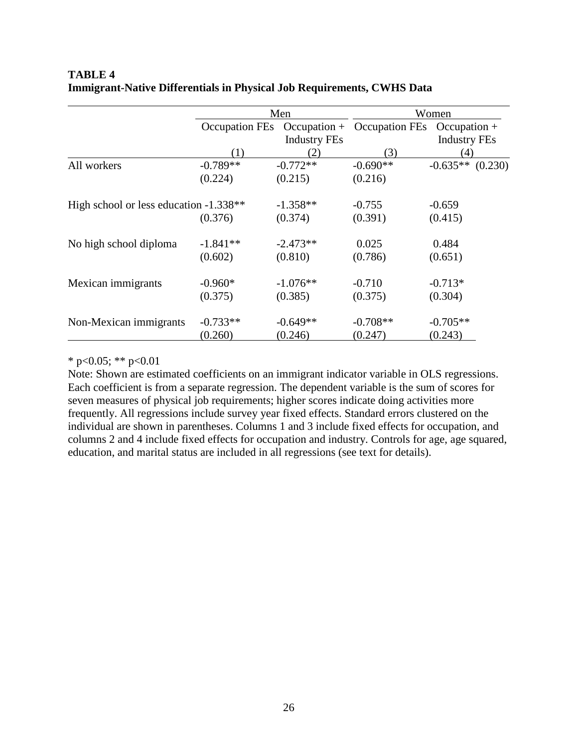|                                        | Men        |                     | Women                                      |                     |  |
|----------------------------------------|------------|---------------------|--------------------------------------------|---------------------|--|
|                                        |            |                     | Occupation FEs Occupation + Occupation FEs | $Occupation +$      |  |
|                                        |            | <b>Industry FEs</b> |                                            | <b>Industry FEs</b> |  |
|                                        | (1)        | (2)                 | (3)                                        | (4)                 |  |
| All workers                            | $-0.789**$ | $-0.772**$          | $-0.690**$                                 | $-0.635**$ (0.230)  |  |
|                                        | (0.224)    | (0.215)             | (0.216)                                    |                     |  |
| High school or less education -1.338** |            | $-1.358**$          | $-0.755$                                   | $-0.659$            |  |
|                                        | (0.376)    | (0.374)             | (0.391)                                    | (0.415)             |  |
| No high school diploma                 | $-1.841**$ | $-2.473**$          | 0.025                                      | 0.484               |  |
|                                        | (0.602)    | (0.810)             | (0.786)                                    | (0.651)             |  |
| Mexican immigrants                     | $-0.960*$  | $-1.076**$          | $-0.710$                                   | $-0.713*$           |  |
|                                        | (0.375)    | (0.385)             | (0.375)                                    | (0.304)             |  |
| Non-Mexican immigrants                 | $-0.733**$ | $-0.649**$          | $-0.708**$                                 | $-0.705**$          |  |
|                                        | (0.260)    | (0.246)             | (0.247)                                    | (0.243)             |  |

### **TABLE 4 Immigrant-Native Differentials in Physical Job Requirements, CWHS Data**

\* p<0.05; \*\* p<0.01

Note: Shown are estimated coefficients on an immigrant indicator variable in OLS regressions. Each coefficient is from a separate regression. The dependent variable is the sum of scores for seven measures of physical job requirements; higher scores indicate doing activities more frequently. All regressions include survey year fixed effects. Standard errors clustered on the individual are shown in parentheses. Columns 1 and 3 include fixed effects for occupation, and columns 2 and 4 include fixed effects for occupation and industry. Controls for age, age squared, education, and marital status are included in all regressions (see text for details).